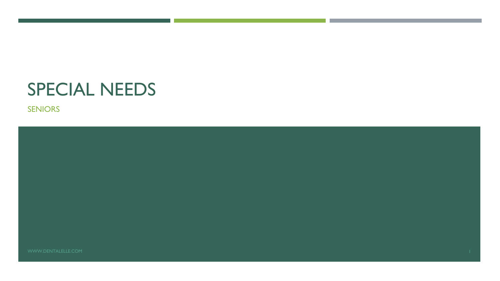# SPECIAL NEEDS

SENIORS

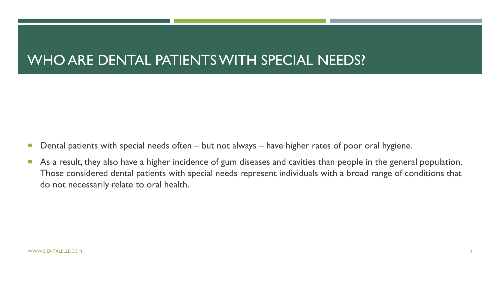### WHO ARE DENTAL PATIENTS WITH SPECIAL NEEDS?

- Dental patients with special needs often but not always have higher rates of poor oral hygiene.
- As a result, they also have a higher incidence of gum diseases and cavities than people in the general population. Those considered dental patients with special needs represent individuals with a broad range of conditions that do not necessarily relate to oral health.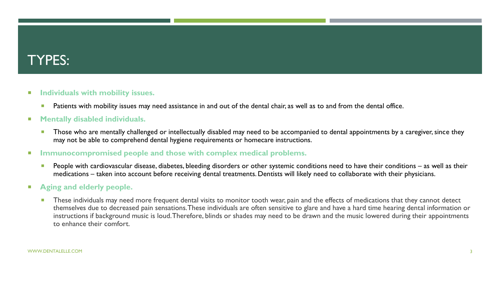### TYPES:

#### **Individuals with mobility issues.**

**Patients with mobility issues may need assistance in and out of the dental chair, as well as to and from the dental office.** 

#### **Mentally disabled individuals.**

**Those who are mentally challenged or intellectually disabled may need to be accompanied to dental appointments by a caregiver, since they** may not be able to comprehend dental hygiene requirements or homecare instructions.

#### **IMMUNOCOMPROMISED PEOPLE AND THE SET IMMUNOCOMPROMISED IN EXAMPLE 10 IN STATE IN MUNOCOMPTIES.**

**People with cardiovascular disease, diabetes, bleeding disorders or other systemic conditions need to have their conditions – as well as their entity of the systemic conditions – as well as their conditions – as well as t** medications – taken into account before receiving dental treatments. Dentists will likely need to collaborate with their physicians.

#### **Aging and elderly people.**

**These individuals may need more frequent dental visits to monitor tooth wear, pain and the effects of medications that they cannot detect** themselves due to decreased pain sensations. These individuals are often sensitive to glare and have a hard time hearing dental information or instructions if background music is loud. Therefore, blinds or shades may need to be drawn and the music lowered during their appointments to enhance their comfort.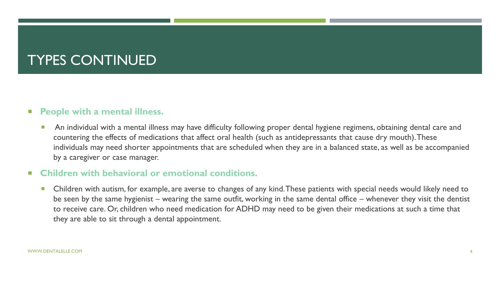## TYPES CONTINUED

#### **People with a mental illness.**

**An individual with a mental illness may have difficulty following proper dental hygiene regimens, obtaining dental care and and in Ann and tention of the care of the care and care and care and care and care and care and c** countering the effects of medications that affect oral health (such as antidepressants that cause dry mouth). These individuals may need shorter appointments that are scheduled when they are in a balanced state, as well as be accompanied by a caregiver or case manager.

#### **Children with behavioral or emotional conditions.**

■ Children with autism, for example, are averse to changes of any kind. These patients with special needs would likely need to be seen by the same hygienist – wearing the same outfit, working in the same dental office – whenever they visit the dentist to receive care. Or, children who need medication for ADHD may need to be given their medications at such a time that they are able to sit through a dental appointment.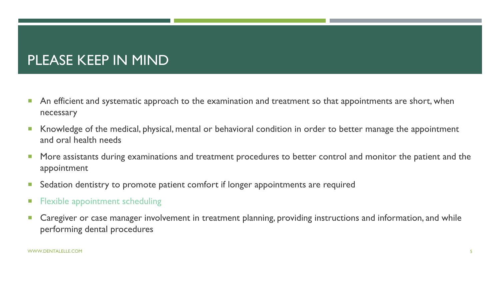### PLEASE KEEP IN MIND

- **An efficient and systematic approach to the examination and treatment so that appointments are short, when** necessary
- Knowledge of the medical, physical, mental or behavioral condition in order to better manage the appointment and oral health needs
- **More assistants during examinations and treatment procedures to better control and monitor the patient and the** appointment
- **Sedation dentistry to promote patient comfort if longer appointments are required**
- **Flexible appointment scheduling**
- **Caregiver or case manager involvement in treatment planning, providing instructions and information, and while** performing dental procedures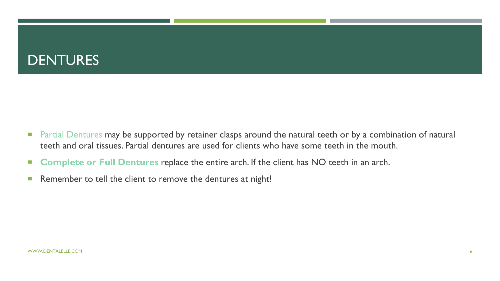### DENTURES

- **Partial Dentures may be supported by retainer clasps around the natural teeth or by a combination of natural endom** teeth and oral tissues. Partial dentures are used for clients who have some teeth in the mouth.
- **Complete or Full Dentures** replace the entire arch. If the client has NO teeth in an arch.
- Remember to tell the client to remove the dentures at night!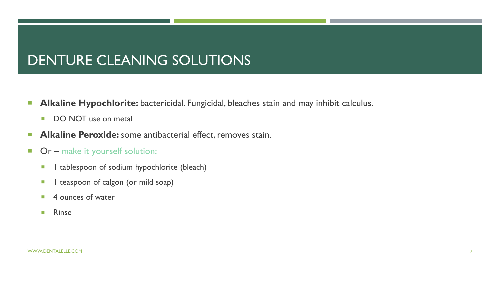### DENTURE CLEANING SOLUTIONS

- **Alkaline Hypochlorite:** bactericidal. Fungicidal, bleaches stain and may inhibit calculus.
	- DO NOT use on metal
- **Alkaline Peroxide:** some antibacterial effect, removes stain.
- **Or** make it yourself solution:
	- **1** I tablespoon of sodium hypochlorite (bleach)
	- **1** teaspoon of calgon (or mild soap)
	- 4 ounces of water
	- **Rinse**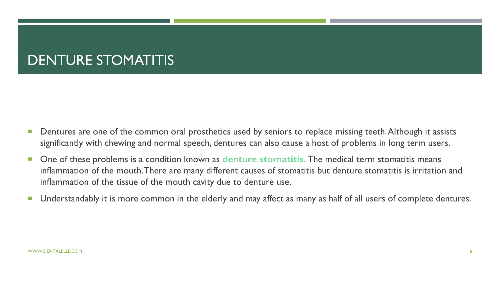### DENTURE STOMATITIS

- **Dentures are one of the common oral prosthetics used by seniors to replace missing teeth. Although it assists** significantly with chewing and normal speech, dentures can also cause a host of problems in long term users.
- One of these problems is a condition known as denture stomatitis. The medical term stomatitis means inflammation of the mouth. There are many different causes of stomatitis but denture stomatitis is irritation and inflammation of the tissue of the mouth cavity due to denture use.
- **Understandably it is more common in the elderly and may affect as many as half of all users of complete dentures.**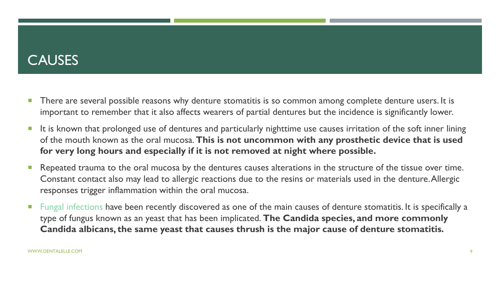### **CAUSES**

- **There are several possible reasons why denture stomatitis is so common among complete denture users. It is** important to remember that it also affects wearers of partial dentures but the incidence is significantly lower.
- It is known that prolonged use of dentures and particularly nighttime use causes irritation of the soft inner lining of the mouth known as the oral mucosa. **This is not uncommon with any prosthetic device that is used for very long hours and especially if it is not removed at night where possible.**
- **Repeated trauma to the oral mucosa by the dentures causes alterations in the structure of the tissue over time.** Constant contact also may lead to allergic reactions due to the resins or materials used in the denture. Allergic responses trigger inflammation within the oral mucosa.
- **Fungal infections have been recently discovered as one of the main causes of denture stomatitis. It is specifically a** type of fungus known as an yeast that has been implicated. **The Candida species, and more commonly Candida albicans, the same yeast that causes thrush is the major cause of denture stomatitis.**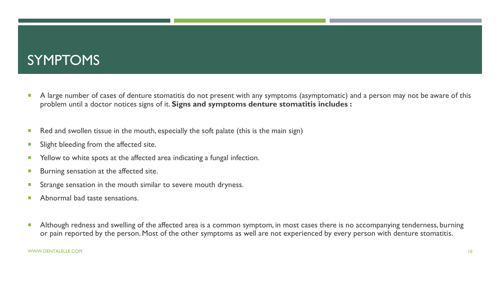### SYMPTOMS

- A large number of cases of denture stomatitis do not present with any symptoms (asymptomatic) and a person may not be aware of this problem until a doctor notices signs of it. **Signs and symptoms denture stomatitis includes :**
- Red and swollen tissue in the mouth, especially the soft palate (this is the main sign)
- **Slight bleeding from the affected site.**
- Yellow to white spots at the affected area indicating a fungal infection.
- **Burning sensation at the affected site.**
- **Strange sensation in the mouth similar to severe mouth dryness.**
- **Abnormal bad taste sensations.**
- Although redness and swelling of the affected area is a common symptom, in most cases there is no accompanying tenderness, burning or pain reported by the person. Most of the other symptoms as well are not experienced by every person with denture stomatitis.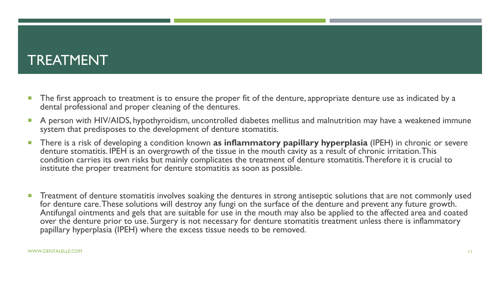### TREATMENT

- The first approach to treatment is to ensure the proper fit of the denture, appropriate denture use as indicated by a dental professional and proper cleaning of the dentures.
- A person with HIV/AIDS, hypothyroidism, uncontrolled diabetes mellitus and malnutrition may have a weakened immune system that predisposes to the development of denture stomatitis.
- There is a risk of developing a condition known **as inflammatory papillary hyperplasia** (IPEH) in chronic or severe denture stomatitis. IPEH is an overgrowth of the tissue in the mouth cavity as a result of chronic irritation. This condition carries its own risks but mainly complicates the treatment of denture stomatitis. Therefore it is crucial to institute the proper treatment for denture stomatitis as soon as possible.
- **Treatment of denture stomatitis involves soaking the dentures in strong antiseptic solutions that are not commonly used** for denture care. These solutions will destroy any fungi on the surface of the denture and prevent any future growth. Antifungal ointments and gels that are suitable for use in the mouth may also be applied to the affected area and coated over the denture prior to use. Surgery is not necessary for denture stomatitis treatment unless there is inflammatory papillary hyperplasia (IPEH) where the excess tissue needs to be removed.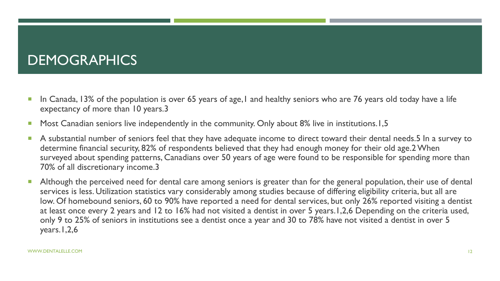### **DEMOGRAPHICS**

- In Canada, 13% of the population is over 65 years of age, I and healthy seniors who are 76 years old today have a life expectancy of more than 10 years.3
- Most Canadian seniors live independently in the community. Only about 8% live in institutions.1,5
- A substantial number of seniors feel that they have adequate income to direct toward their dental needs.5 In a survey to determine financial security, 82% of respondents believed that they had enough money for their old age.2 When surveyed about spending patterns, Canadians over 50 years of age were found to be responsible for spending more than 70% of all discretionary income.3
- Although the perceived need for dental care among seniors is greater than for the general population, their use of dental services is less. Utilization statistics vary considerably among studies because of differing eligibility criteria, but all are low. Of homebound seniors, 60 to 90% have reported a need for dental services, but only 26% reported visiting a dentist at least once every 2 years and 12 to 16% had not visited a dentist in over 5 years.1,2,6 Depending on the criteria used, only 9 to 25% of seniors in institutions see a dentist once a year and 30 to 78% have not visited a dentist in over 5 years.1,2,6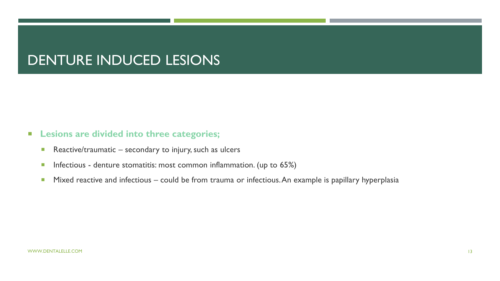### DENTURE INDUCED LESIONS

- **Lesions are divided into three categories;**
	- Reactive/traumatic secondary to injury, such as ulcers
	- **Infectious denture stomatitis: most common inflammation. (up to 65%)**
	- **Mixed reactive and infectious could be from trauma or infectious. An example is papillary hyperplasia**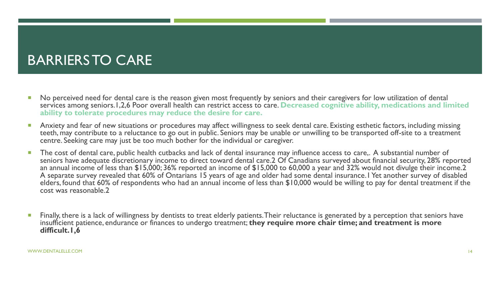## BARRIERS TO CARE

- No perceived need for dental care is the reason given most frequently by seniors and their caregivers for low utilization of dental services among seniors.1,2,6 Poor overall health can restrict access to care. **Decreased cognitive ability, medications and limited ability to tolerate procedures may reduce the desire for care.**
- Anxiety and fear of new situations or procedures may affect willingness to seek dental care. Existing esthetic factors, including missing teeth, may contribute to a reluctance to go out in public. Seniors may be unable or unwilling to be transported off-site to a treatment centre. Seeking care may just be too much bother for the individual or caregiver.
- The cost of dental care, public health cutbacks and lack of dental insurance may influence access to care,. A substantial number of seniors have adequate discretionary income to direct toward dental care.2 Of Canadians surveyed about financial security, 28% reported an annual income of less than \$15,000; 36% reported an income of \$15,000 to 60,000 a year and 32% would not divulge their income.2 A separate survey revealed that 60% of Ontarians 15 years of age and older had some dental insurance.1 Yet another survey of disabled elders, found that 60% of respondents who had an annual income of less than \$10,000 would be willing to pay for dental treatment if the cost was reasonable.2
- Finally, there is a lack of willingness by dentists to treat elderly patients. Their reluctance is generated by a perception that seniors have insufficient patience, endurance or finances to undergo treatment; **they require more chair time; and treatment is more difficult.1,6**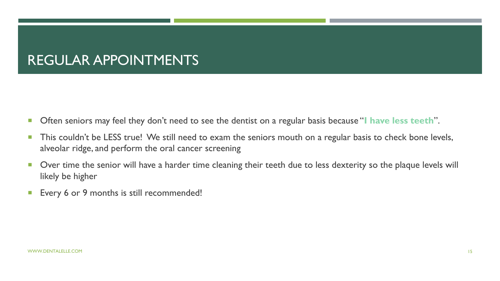### REGULAR APPOINTMENTS

- **Often seniors may feel they don't need to see the dentist on a regular basis because "I have less teeth".**
- **This couldn't be LESS true! We still need to exam the seniors mouth on a regular basis to check bone levels,** alveolar ridge, and perform the oral cancer screening
- **Didd** Over time the senior will have a harder time cleaning their teeth due to less dexterity so the plaque levels will likely be higher
- **Every 6 or 9 months is still recommended!**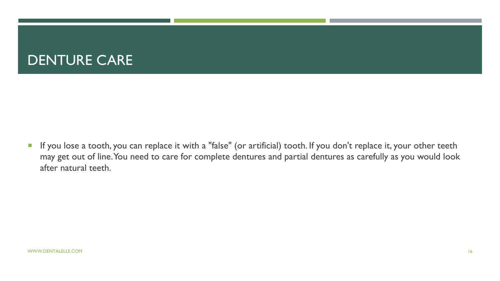### DENTURE CARE

**If you lose a tooth, you can replace it with a "false" (or artificial) tooth. If you don't replace it, your other teeth** may get out of line. You need to care for complete dentures and partial dentures as carefully as you would look after natural teeth.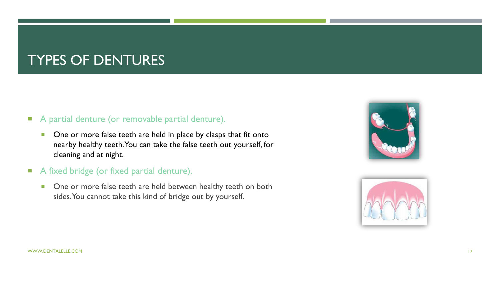### TYPES OF DENTURES

#### A partial denture (or removable partial denture).

- **Diam** One or more false teeth are held in place by clasps that fit onto nearby healthy teeth. You can take the false teeth out yourself, for cleaning and at night.
- A fixed bridge (or fixed partial denture).
	- **•** One or more false teeth are held between healthy teeth on both sides. You cannot take this kind of bridge out by yourself.



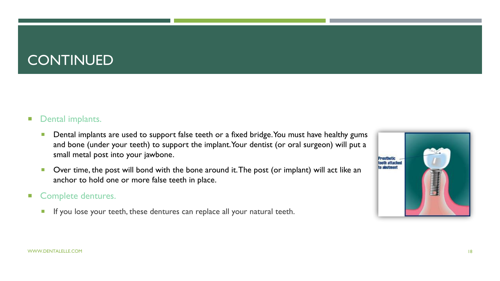### **CONTINUED**

### **Dental implants.**

- **Dental implants are used to support false teeth or a fixed bridge. You must have healthy gums** and bone (under your teeth) to support the implant. Your dentist (or oral surgeon) will put a small metal post into your jawbone.
- Over time, the post will bond with the bone around it. The post (or implant) will act like an anchor to hold one or more false teeth in place.

#### Complete dentures.

If you lose your teeth, these dentures can replace all your natural teeth.

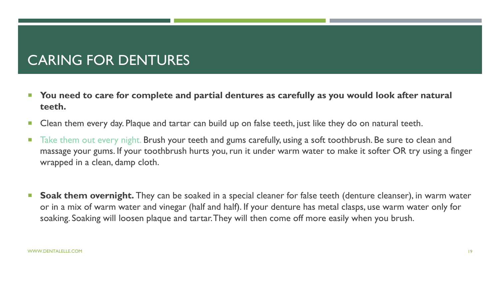## CARING FOR DENTURES

- You need to care for complete and partial dentures as carefully as you would look after natural **teeth.**
- **Clean them every day. Plaque and tartar can build up on false teeth, just like they do on natural teeth.**
- Take them out every night. Brush your teeth and gums carefully, using a soft toothbrush. Be sure to clean and massage your gums. If your toothbrush hurts you, run it under warm water to make it softer OR try using a finger wrapped in a clean, damp cloth.
- Soak them overnight. They can be soaked in a special cleaner for false teeth (denture cleanser), in warm water or in a mix of warm water and vinegar (half and half). If your denture has metal clasps, use warm water only for soaking. Soaking will loosen plaque and tartar. They will then come off more easily when you brush.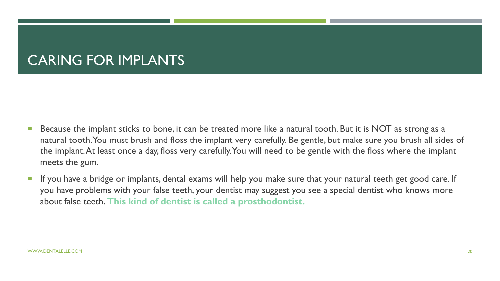## CARING FOR IMPLANTS

- Because the implant sticks to bone, it can be treated more like a natural tooth. But it is NOT as strong as a natural tooth. You must brush and floss the implant very carefully. Be gentle, but make sure you brush all sides of the implant. At least once a day, floss very carefully. You will need to be gentle with the floss where the implant meets the gum.
- **If you have a bridge or implants, dental exams will help you make sure that your natural teeth get good care. If** you have problems with your false teeth, your dentist may suggest you see a special dentist who knows more about false teeth. **This kind of dentist is called a prosthodontist.**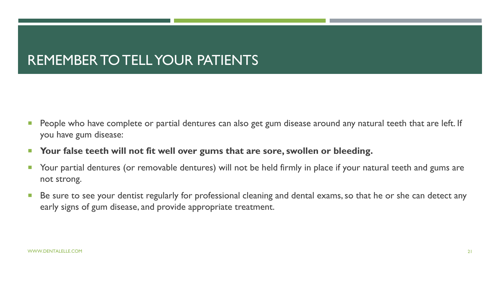### REMEMBER TO TELL YOUR PATIENTS

- **People who have complete or partial dentures can also get gum disease around any natural teeth that are left. If** you have gum disease:
- **Your false teeth will not fit well over gums that are sore, swollen or bleeding.**
- **The Sour partial dentures (or removable dentures) will not be held firmly in place if your natural teeth and gums are** not strong.
- Be sure to see your dentist regularly for professional cleaning and dental exams, so that he or she can detect any early signs of gum disease, and provide appropriate treatment.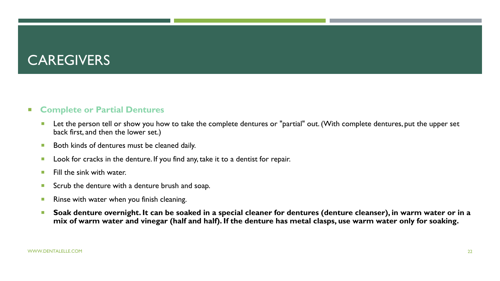### **CAREGIVERS**

#### **Complete or Partial Dentures**

- Let the person tell or show you how to take the complete dentures or "partial" out. (With complete dentures, put the upper set back first, and then the lower set.)
- **Both kinds of dentures must be cleaned daily.**
- **Look for cracks in the denture. If you find any, take it to a dentist for repair.**
- $\blacksquare$  Fill the sink with water.
- Scrub the denture with a denture brush and soap.
- **Rinse with water when you finish cleaning.**
- Soak denture overnight. It can be soaked in a special cleaner for dentures (denture cleanser), in warm water or in a **mix of warm water and vinegar (half and half). If the denture has metal clasps, use warm water only for soaking.**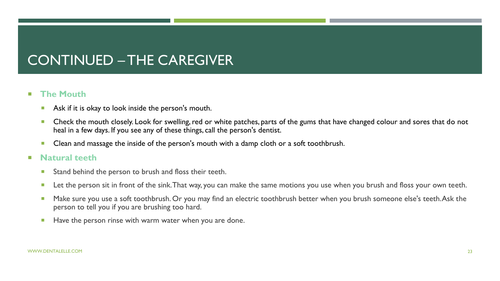## CONTINUED – THE CAREGIVER

#### **The Mouth**

- Ask if it is okay to look inside the person's mouth.
- **Check the mouth closely. Look for swelling, red or white patches, parts of the gums that have changed colour and sores that do not** heal in a few days. If you see any of these things, call the person's dentist.
- **Clean and massage the inside of the person's mouth with a damp cloth or a soft toothbrush.**
- **Natural teeth**
	- **Stand behind the person to brush and floss their teeth.**
	- Let the person sit in front of the sink. That way, you can make the same motions you use when you brush and floss your own teeth.
	- Make sure you use a soft toothbrush. Or you may find an electric toothbrush better when you brush someone else's teeth. Ask the person to tell you if you are brushing too hard.
	- **Have the person rinse with warm water when you are done.**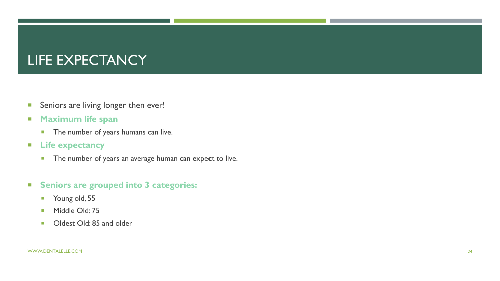### LIFE EXPECTANCY

- **Seniors are living longer then ever!**
- **Maximum life span**
	- **The number of years humans can live.**
- **Life expectancy**
	- **The number of years an average human can expect to live.**
- **Seniors are grouped into 3 categories:**
	- **Young old, 55**
	- **Middle Old: 75**
	- Oldest Old: 85 and older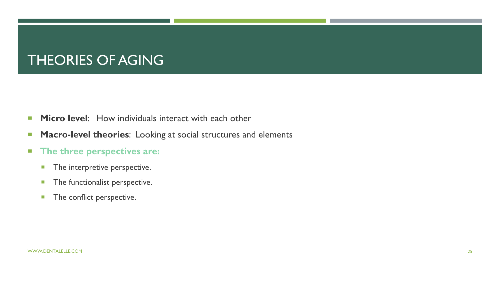### THEORIES OF AGING

- **Micro level:** How individuals interact with each other
- **Macro-level theories:** Looking at social structures and elements
- **The three perspectives are:** 
	- **The interpretive perspective.**
	- **The functionalist perspective.**
	- **The conflict perspective.**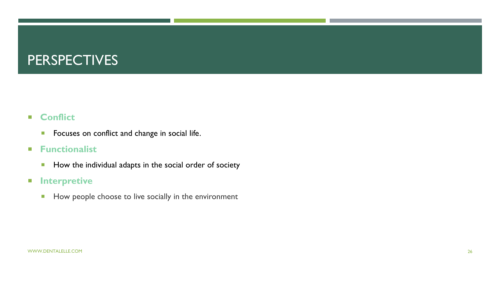### **PERSPECTIVES**

### **Conflict**

**FICULTE:** Focuses on conflict and change in social life.

#### **Functionalist**

How the individual adapts in the social order of society

#### **Interpretive**

How people choose to live socially in the environment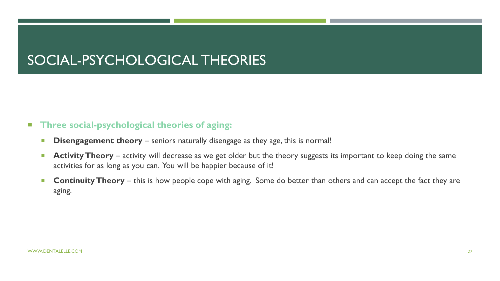## SOCIAL-PSYCHOLOGICAL THEORIES

#### **Three social-psychological theories of aging:**

- **Disengagement theory** seniors naturally disengage as they age, this is normal!
- **Activity Theory** activity will decrease as we get older but the theory suggests its important to keep doing the same activities for as long as you can. You will be happier because of it!
- **Continuity Theory** this is how people cope with aging. Some do better than others and can accept the fact they are aging.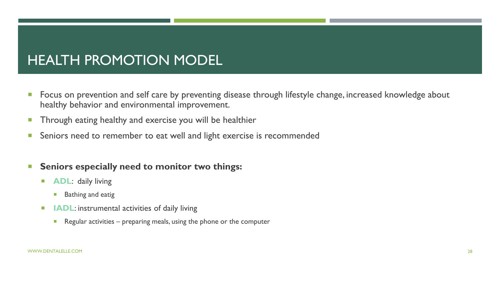### HEALTH PROMOTION MODEL

- **Figure 3** Focus on prevention and self care by preventing disease through lifestyle change, increased knowledge about healthy behavior and environmental improvement.
- **Through eating healthy and exercise you will be healthier**
- **Seniors need to remember to eat well and light exercise is recommended**

#### **Seniors especially need to monitor two things:**

- **ADL:** daily living
	- **Bathing and eatig**
- **IIIADL:** instrumental activities of daily living
	- Regular activities  $-$  preparing meals, using the phone or the computer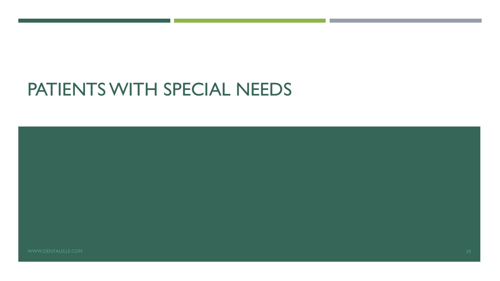# PATIENTS WITH SPECIAL NEEDS

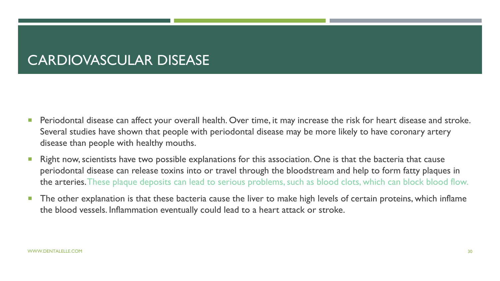### CARDIOVASCULAR DISEASE

- **Periodontal disease can affect your overall health. Over time, it may increase the risk for heart disease and stroke.** Several studies have shown that people with periodontal disease may be more likely to have coronary artery disease than people with healthy mouths.
- **Right now, scientists have two possible explanations for this association. One is that the bacteria that cause** periodontal disease can release toxins into or travel through the bloodstream and help to form fatty plaques in the arteries. These plaque deposits can lead to serious problems, such as blood clots, which can block blood flow.
- **The other explanation is that these bacteria cause the liver to make high levels of certain proteins, which inflame** the blood vessels. Inflammation eventually could lead to a heart attack or stroke.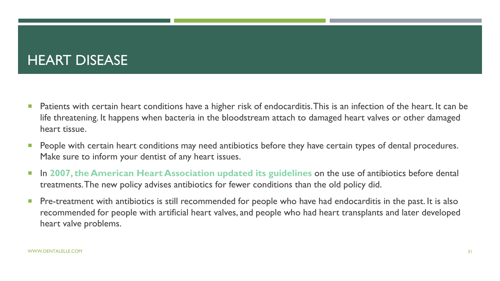### HEART DISEASE

- **Patients with certain heart conditions have a higher risk of endocarditis. This is an infection of the heart. It can be** life threatening. It happens when bacteria in the bloodstream attach to damaged heart valves or other damaged heart tissue.
- **People with certain heart conditions may need antibiotics before they have certain types of dental procedures.** Make sure to inform your dentist of any heart issues.
- **In 2007, the American Heart Association updated its guidelines on the use of antibiotics before dental** treatments. The new policy advises antibiotics for fewer conditions than the old policy did.
- **Pre-treatment with antibiotics is still recommended for people who have had endocarditis in the past. It is also** recommended for people with artificial heart valves, and people who had heart transplants and later developed heart valve problems.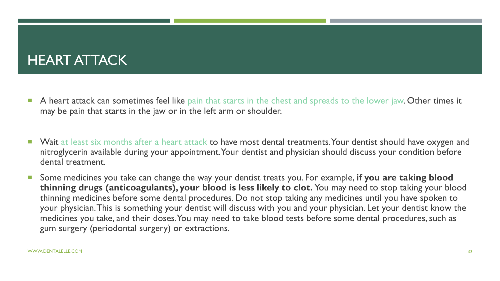### HEART ATTACK

- A heart attack can sometimes feel like pain that starts in the chest and spreads to the lower jaw. Other times it may be pain that starts in the jaw or in the left arm or shoulder.
- Wait at least six months after a heart attack to have most dental treatments. Your dentist should have oxygen and nitroglycerin available during your appointment. Your dentist and physician should discuss your condition before dental treatment.
- Some medicines you take can change the way your dentist treats you. For example, **if you are taking blood thinning drugs (anticoagulants), your blood is less likely to clot.** You may need to stop taking your blood thinning medicines before some dental procedures. Do not stop taking any medicines until you have spoken to your physician. This is something your dentist will discuss with you and your physician. Let your dentist know the medicines you take, and their doses. You may need to take blood tests before some dental procedures, such as gum surgery (periodontal surgery) or extractions.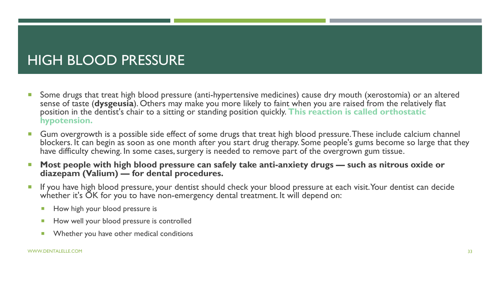## HIGH BLOOD PRESSURE

- **Some drugs that treat high blood pressure (anti-hypertensive medicines) cause dry mouth (xerostomia) or an altered** sense of taste (**dysgeusia**). Others may make you more likely to faint when you are raised from the relatively flat position in the dentist's chair to a sitting or standing position quickly. **This reaction is called orthostatic hypotension.**
- **Gum overgrowth is a possible side effect of some drugs that treat high blood pressure. These include calcium channel** blockers. It can begin as soon as one month after you start drug therapy. Some people's gums become so large that they have difficulty chewing. In some cases, surgery is needed to remove part of the overgrown gum tissue.
- **Most people with high blood pressure can safely take anti-anxiety drugs such as nitrous oxide or diazepam (Valium) — for dental procedures.**
- **If you have high blood pressure, your dentist should check your blood pressure at each visit. Your dentist can decide** whether it's OK for you to have non-emergency dental treatment. It will depend on:
	- How high your blood pressure is
	- How well your blood pressure is controlled
	- **Number 19 Whether you have other medical conditions**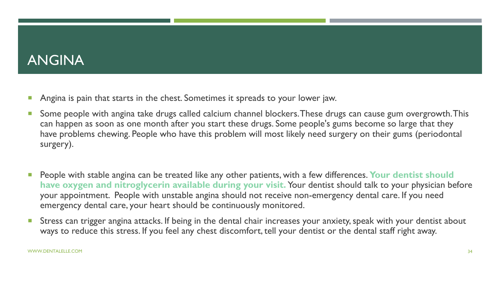### ANGINA

- **Angina is pain that starts in the chest. Sometimes it spreads to your lower jaw.**
- Some people with angina take drugs called calcium channel blockers. These drugs can cause gum overgrowth. This can happen as soon as one month after you start these drugs. Some people's gums become so large that they have problems chewing. People who have this problem will most likely need surgery on their gums (periodontal surgery).
- **People with stable angina can be treated like any other patients, with a few differences. Your dentist should have oxygen and nitroglycerin available during your visit.** Your dentist should talk to your physician before your appointment. People with unstable angina should not receive non-emergency dental care. If you need emergency dental care, your heart should be continuously monitored.
- **Stress can trigger angina attacks. If being in the dental chair increases your anxiety, speak with your dentist about** ways to reduce this stress. If you feel any chest discomfort, tell your dentist or the dental staff right away.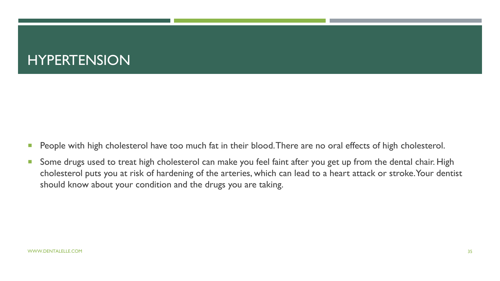### HYPERTENSION

- **People with high cholesterol have too much fat in their blood. There are no oral effects of high cholesterol.**
- **Some drugs used to treat high cholesterol can make you feel faint after you get up from the dental chair. High** cholesterol puts you at risk of hardening of the arteries, which can lead to a heart attack or stroke. Your dentist should know about your condition and the drugs you are taking.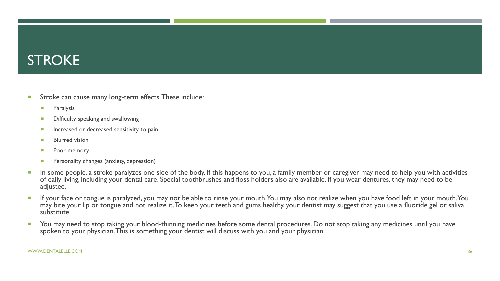### **STROKE**

- **Stroke can cause many long-term effects. These include:** 
	- **Paralysis**
	- **Difficulty speaking and swallowing**
	- **Increased or decreased sensitivity to pain**
	- **Blurred vision**
	- **Poor memory**
	- **Personality changes (anxiety, depression)**
- In some people, a stroke paralyzes one side of the body. If this happens to you, a family member or caregiver may need to help you with activities of daily living, including your dental care. Special toothbrushes and floss holders also are available. If you wear dentures, they may need to be adjusted.
- If your face or tongue is paralyzed, you may not be able to rinse your mouth. You may also not realize when you have food left in your mouth. You may bite your lip or tongue and not realize it. To keep your teeth and gums healthy, your dentist may suggest that you use a fluoride gel or saliva substitute.
- You may need to stop taking your blood-thinning medicines before some dental procedures. Do not stop taking any medicines until you have spoken to your physician. This is something your dentist will discuss with you and your physician.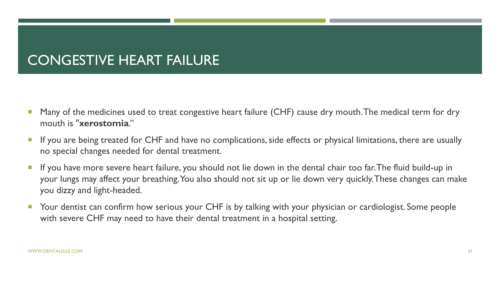### CONGESTIVE HEART FAILURE

- Many of the medicines used to treat congestive heart failure (CHF) cause dry mouth. The medical term for dry mouth is "**xerostomia**."
- If you are being treated for CHF and have no complications, side effects or physical limitations, there are usually no special changes needed for dental treatment.
- If you have more severe heart failure, you should not lie down in the dental chair too far. The fluid build-up in your lungs may affect your breathing. You also should not sit up or lie down very quickly. These changes can make you dizzy and light-headed.
- Your dentist can confirm how serious your CHF is by talking with your physician or cardiologist. Some people with severe CHF may need to have their dental treatment in a hospital setting.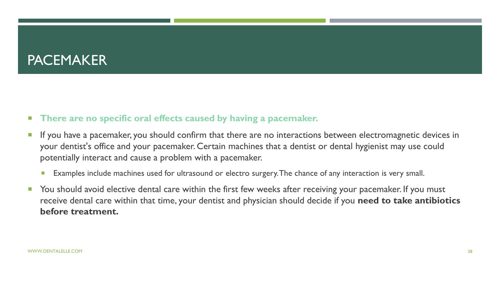### **PACEMAKER**

#### **There are no specific oral effects caused by having a pacemaker.**

- If you have a pacemaker, you should confirm that there are no interactions between electromagnetic devices in your dentist's office and your pacemaker. Certain machines that a dentist or dental hygienist may use could potentially interact and cause a problem with a pacemaker.
	- **Examples include machines used for ultrasound or electro surgery. The chance of any interaction is very small.**
- You should avoid elective dental care within the first few weeks after receiving your pacemaker. If you must receive dental care within that time, your dentist and physician should decide if you **need to take antibiotics before treatment.**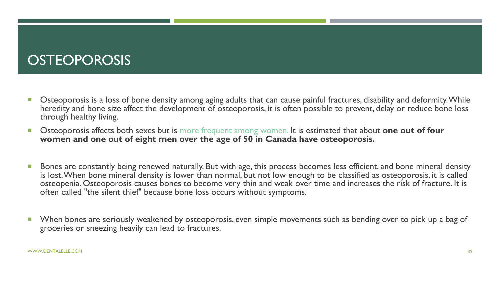### **OSTEOPOROSIS**

- **Disteoporosis is a loss of bone density among aging adults that can cause painful fractures, disability and deformity. While** heredity and bone size affect the development of osteoporosis, it is often possible to prevent, delay or reduce bone loss through healthy living.
- Osteoporosis affects both sexes but is more frequent among women. It is estimated that about **one out of four women and one out of eight men over the age of 50 in Canada have osteoporosis.**
- **Bones are constantly being renewed naturally. But with age, this process becomes less efficient, and bone mineral density** is lost. When bone mineral density is lower than normal, but not low enough to be classified as osteoporosis, it is called osteopenia. Osteoporosis causes bones to become very thin and weak over time and increases the risk of fracture. It is often called "the silent thief" because bone loss occurs without symptoms.
- When bones are seriously weakened by osteoporosis, even simple movements such as bending over to pick up a bag of groceries or sneezing heavily can lead to fractures.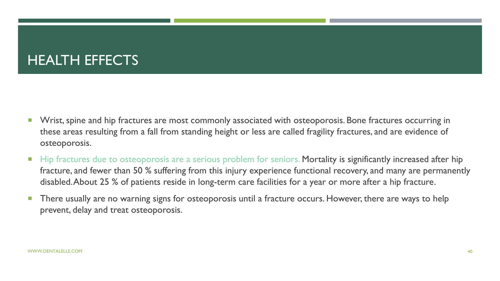### HEALTH EFFECTS

- **Notal Exercise 3 and hip fractures are most commonly associated with osteoporosis. Bone fractures occurring in** these areas resulting from a fall from standing height or less are called fragility fractures, and are evidence of osteoporosis.
- Hip fractures due to osteoporosis are a serious problem for seniors. Mortality is significantly increased after hip fracture, and fewer than 50 % suffering from this injury experience functional recovery, and many are permanently disabled. About 25 % of patients reside in long-term care facilities for a year or more after a hip fracture.
- There usually are no warning signs for osteoporosis until a fracture occurs. However, there are ways to help prevent, delay and treat osteoporosis.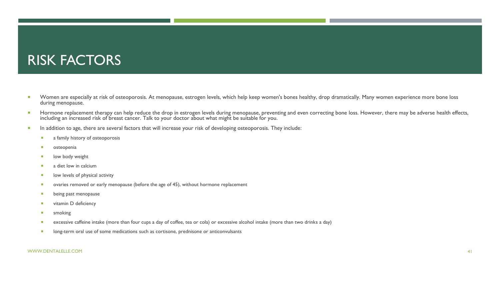### RISK FACTORS

- Women are especially at risk of osteoporosis. At menopause, estrogen levels, which help keep women's bones healthy, drop dramatically. Many women experience more bone loss during menopause.
- Hormone replacement therapy can help reduce the drop in estrogen levels during menopause, preventing and even correcting bone loss. However, there may be adverse health effects, including an increased risk of breast cancer. Talk to your doctor about what might be suitable for you.
- In addition to age, there are several factors that will increase your risk of developing osteoporosis. They include:
	- **a** a family history of osteoporosis
	- osteopenia
	- **I** low body weight
	- a diet low in calcium
	- **IDED** low levels of physical activity
	- **•** ovaries removed or early menopause (before the age of 45), without hormone replacement
	- **being past menopause**
	- vitamin D deficiency
	- **smoking**
	- excessive caffeine intake (more than four cups a day of coffee, tea or cola) or excessive alcohol intake (more than two drinks a day)
	- **IDO** long-term oral use of some medications such as cortisone, prednisone or anticonvulsants

#### WWW.DENTALELLE.COM 41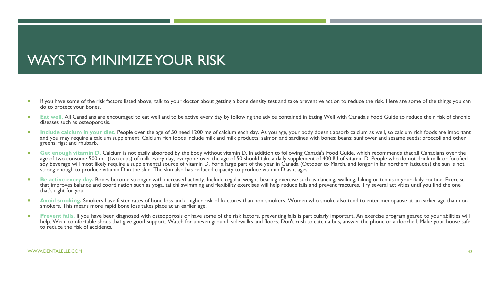### WAYS TO MINIMIZE YOUR RISK

- If you have some of the risk factors listed above, talk to your doctor about getting a bone density test and take preventive action to reduce the risk. Here are some of the things you can do to protect your bones.
- **Eat well.** All Canadians are encouraged to eat well and to be active every day by following the advice contained in Eating Well with Canada's Food Guide to reduce their risk of chronic diseases such as osteoporosis.
- **Include calcium in your diet. People over the age of 50 need 1200 mg of calcium each day. As you age, your body doesn't absorb calcium as well, so calcium rich foods are important** and you may require a calcium supplement. Calcium rich foods include milk and milk products; salmon and sardines with bones; beans; sunflower and sesame seeds; broccoli and other greens; figs; and rhubarb.
- Get enough vitamin D. Calcium is not easily absorbed by the body without vitamin D. In addition to following Canada's Food Guide, which recommends that all Canadians over the age of two consume 500 mL (two cups) of milk every day, everyone over the age of 50 should take a daily supplement of 400 IU of vitamin D. People who do not drink milk or fortified soy beverage will most likely require a supplemental source of vitamin D. For a large part of the year in Canada (October to March, and longer in far northern latitudes) the sun is not strong enough to produce vitamin D in the skin. The skin also has reduced capacity to produce vitamin D as it ages.
- **Be active every day.** Bones become stronger with increased activity, Include regular weight-bearing exercise such as dancing, walking, hiking or tennis in your daily routine. Exercise that improves balance and coordination such as yoga, tai chi swimming and flexibility exercises will help reduce falls and prevent fractures. Try several activities until you find the one that's right for you.
- **Avoid smoking.** Smokers have faster rates of bone loss and a higher risk of fractures than non-smokers. Women who smoke also tend to enter menopause at an earlier age than nonsmokers. This means more rapid bone loss takes place at an earlier age.
- Prevent falls. If you have been diagnosed with osteoporosis or have some of the risk factors, preventing falls is particularly important. An exercise program geared to your abilities will help. Wear comfortable shoes that give good support. Watch for uneven ground, sidewalks and floors. Don't rush to catch a bus, answer the phone or a doorbell. Make your house safe to reduce the risk of accidents.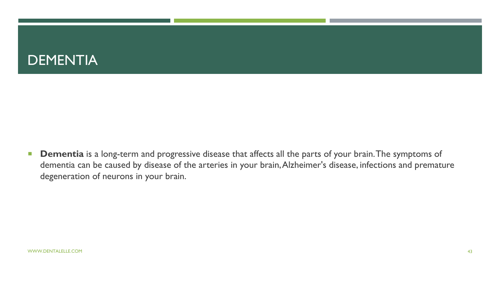

**Dementia** is a long-term and progressive disease that affects all the parts of your brain. The symptoms of dementia can be caused by disease of the arteries in your brain, Alzheimer's disease, infections and premature degeneration of neurons in your brain.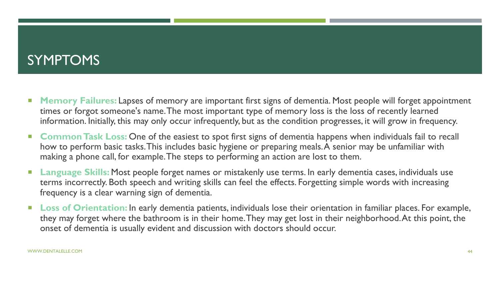### SYMPTOMS

- **Memory Failures:** Lapses of memory are important first signs of dementia. Most people will forget appointment times or forgot someone's name. The most important type of memory loss is the loss of recently learned information. Initially, this may only occur infrequently, but as the condition progresses, it will grow in frequency.
- **Common Task Loss:** One of the easiest to spot first signs of dementia happens when individuals fail to recall how to perform basic tasks. This includes basic hygiene or preparing meals. A senior may be unfamiliar with making a phone call, for example. The steps to performing an action are lost to them.
- **Language Skills:** Most people forget names or mistakenly use terms. In early dementia cases, individuals use terms incorrectly. Both speech and writing skills can feel the effects. Forgetting simple words with increasing frequency is a clear warning sign of dementia.
- **Loss of Orientation:** In early dementia patients, individuals lose their orientation in familiar places. For example, they may forget where the bathroom is in their home. They may get lost in their neighborhood. At this point, the onset of dementia is usually evident and discussion with doctors should occur.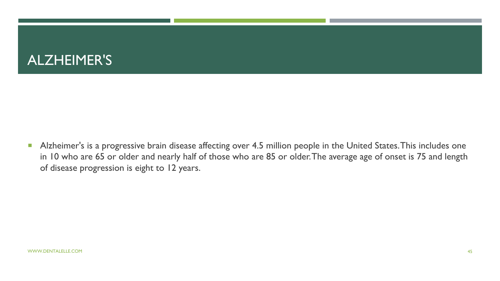### ALZHEIMER'S

Alzheimer's is a progressive brain disease affecting over 4.5 million people in the United States. This includes one in 10 who are 65 or older and nearly half of those who are 85 or older. The average age of onset is 75 and length of disease progression is eight to 12 years.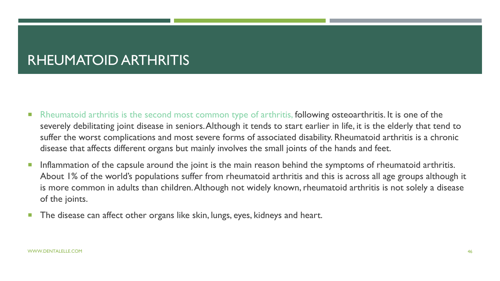### RHEUMATOID ARTHRITIS

- Rheumatoid arthritis is the second most common type of arthritis, following osteoarthritis. It is one of the severely debilitating joint disease in seniors. Although it tends to start earlier in life, it is the elderly that tend to suffer the worst complications and most severe forms of associated disability. Rheumatoid arthritis is a chronic disease that affects different organs but mainly involves the small joints of the hands and feet.
- **Inflammation of the capsule around the joint is the main reason behind the symptoms of rheumatoid arthritis.** About 1% of the world's populations suffer from rheumatoid arthritis and this is across all age groups although it is more common in adults than children. Although not widely known, rheumatoid arthritis is not solely a disease of the joints.
- **The disease can affect other organs like skin, lungs, eyes, kidneys and heart.**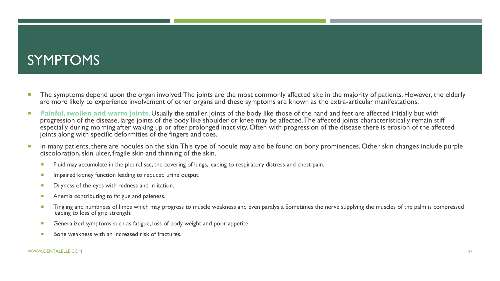### SYMPTOMS

- The symptoms depend upon the organ involved. The joints are the most commonly affected site in the majority of patients. However, the elderly are more likely to experience involvement of other organs and these symptoms are known as the extra-articular manifestations.
- **Painful, swollen and warm joints.** Usually the smaller joints of the body like those of the hand and feet are affected initially but with progression of the disease, large joints of the body like shoulder or knee may be affected. The affected joints characteristically remain stiff especially during morning after waking up or after prolonged inactivity. Often with progression of the disease there is erosion of the affected joints along with specific deformities of the fingers and toes.
- In many patients, there are nodules on the skin. This type of nodule may also be found on bony prominences. Other skin changes include purple discoloration, skin ulcer, fragile skin and thinning of the skin.
	- **FILUTE 10.4** Fluid may accumulate in the pleural sac, the covering of lungs, leading to respiratory distress and chest pain.
	- **IMPA** Impaired kidney function leading to reduced urine output.
	- **Dryness of the eyes with redness and irritation.**
	- **Anemia contributing to fatigue and paleness.**
	- **Tingling and numbness of limbs which may progress to muscle weakness and even paralysis. Sometimes the nerve supplying the muscles of the palm is compressed** leading to loss of grip strength.
	- Generalized symptoms such as fatigue, loss of body weight and poor appetite.
	- Bone weakness with an increased risk of fractures.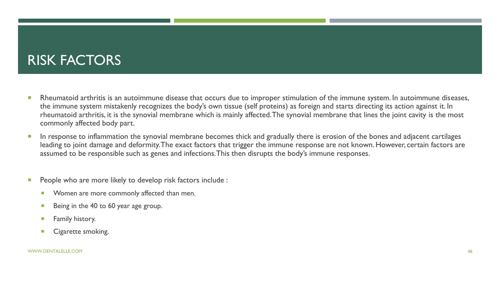### RISK FACTORS

- **Rheumatoid arthritis is an autoimmune disease that occurs due to improper stimulation of the immune system. In autoimmune diseases,** the immune system mistakenly recognizes the body's own tissue (self proteins) as foreign and starts directing its action against it. In rheumatoid arthritis, it is the synovial membrane which is mainly affected. The synovial membrane that lines the joint cavity is the most commonly affected body part.
- **In response to inflammation the synovial membrane becomes thick and gradually there is erosion of the bones and adjacent cartilages** leading to joint damage and deformity. The exact factors that trigger the immune response are not known. However, certain factors are assumed to be responsible such as genes and infections. This then disrupts the body's immune responses.
- **People who are more likely to develop risk factors include :** 
	- **Women are more commonly affected than men.**
	- Being in the 40 to 60 year age group.
	- Family history.
	- Cigarette smoking.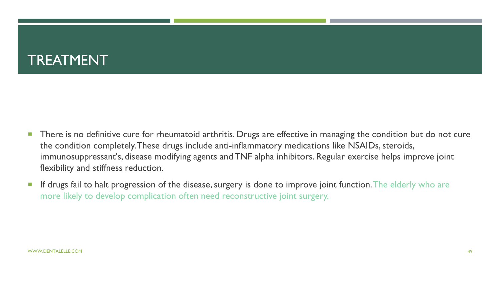### TREATMENT

- **There is no definitive cure for rheumatoid arthritis. Drugs are effective in managing the condition but do not cure** the condition completely. These drugs include anti-inflammatory medications like NSAIDs, steroids, immunosuppressant's, disease modifying agents and TNF alpha inhibitors. Regular exercise helps improve joint flexibility and stiffness reduction.
- If drugs fail to halt progression of the disease, surgery is done to improve joint function. The elderly who are more likely to develop complication often need reconstructive joint surgery.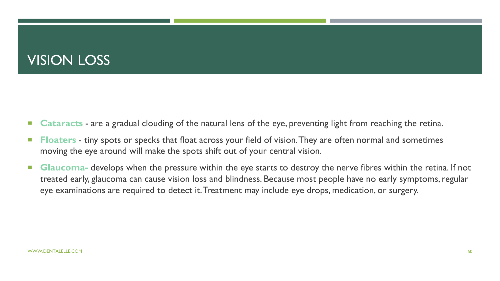### VISION LOSS

- **Cataracts** are a gradual clouding of the natural lens of the eye, preventing light from reaching the retina.
- **Floaters** tiny spots or specks that float across your field of vision. They are often normal and sometimes moving the eye around will make the spots shift out of your central vision.
- **Glaucoma-** develops when the pressure within the eye starts to destroy the nerve fibres within the retina. If not treated early, glaucoma can cause vision loss and blindness. Because most people have no early symptoms, regular eye examinations are required to detect it. Treatment may include eye drops, medication, or surgery.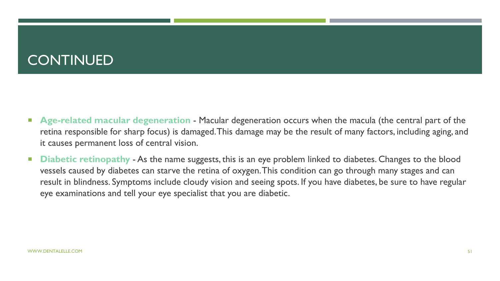### **CONTINUED**

- **Age-related macular degeneration** Macular degeneration occurs when the macula (the central part of the retina responsible for sharp focus) is damaged. This damage may be the result of many factors, including aging, and it causes permanent loss of central vision.
- **Diabetic retinopathy** As the name suggests, this is an eye problem linked to diabetes. Changes to the blood vessels caused by diabetes can starve the retina of oxygen. This condition can go through many stages and can result in blindness. Symptoms include cloudy vision and seeing spots. If you have diabetes, be sure to have regular eye examinations and tell your eye specialist that you are diabetic.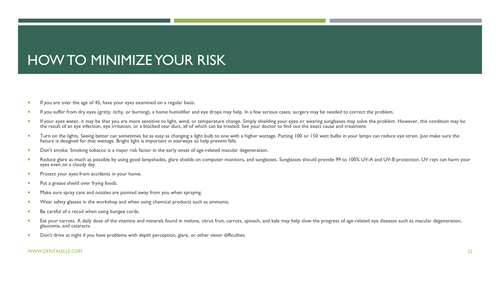### HOW TO MINIMIZE YOUR RISK

- If you are over the age of 45, have your eyes examined on a regular basis.
- If you suffer from dry eyes (gritty, itchy, or burning), a home humidifier and eye drops may help. In a few serious cases, surgery may be needed to correct the problem.
- If your eyes water, it may be that you are more sensitive to light, wind, or temperature change. Simply shielding your eyes or wearing sunglasses may solve the problem. However, this condition may be the result of an eye infection, eye irritation, or a blocked tear duct, all of which can be treated. See your doctor to find out the exact cause and treatment.
- Turn on the lights. Seeing better can sometimes be as easy as changing a light bulb to one with a higher wattage. Putting 100 or 150 watt bulbs in your lamps can reduce eye strain. Just make sure the fixture is designed for that wattage. Bright light is important in stairways to help prevent falls.
- Don't smoke. Smoking tobacco is a major risk factor in the early onset of age-related macular degeneration.
- Reduce glare as much as possible by using good lampshades, glare shields on computer monitors, and sunglasses. Sunglasses should provide 99 to 100% UV-A and UV-B protection. UV rays can harm your eyes even on a cloudy day.
- **Protect your eyes from accidents in your home.**
- **Put a grease shield over frying foods.**
- Make sure spray cans and nozzles are pointed away from you when spraying.
- **Wear safety glasses in the workshop and when using chemical products such as ammonia.**
- Be careful of a recoil when using bungee cords.
- Eat your carrots. A daily dose of the vitamins and minerals found in melons, citrus fruit, carrots, spinach, and kale may help slow the progress of age-related eye diseases such as macular degeneration, glaucoma, and cataracts.
- Don't drive at night if you have problems with depth perception, glare, or other vision difficulties.

#### WWW.DENTALELLE.COM 52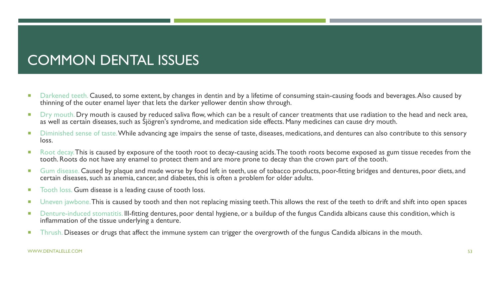## COMMON DENTAL ISSUES

- Darkened teeth. Caused, to some extent, by changes in dentin and by a lifetime of consuming stain-causing foods and beverages. Also caused by thinning of the outer enamel layer that lets the darker yellower dentin show through.
- Dry mouth. Dry mouth is caused by reduced saliva flow, which can be a result of cancer treatments that use radiation to the head and neck area, as well as certain diseases, such as Sjögren's syndrome, and medication side effects. Many medicines can cause dry mouth.
- Diminished sense of taste. While advancing age impairs the sense of taste, diseases, medications, and dentures can also contribute to this sensory loss.
- Root decay. This is caused by exposure of the tooth root to decay-causing acids. The tooth roots become exposed as gum tissue recedes from the tooth. Roots do not have any enamel to protect them and are more prone to decay than the crown part of the tooth.
- Gum disease. Caused by plaque and made worse by food left in teeth, use of tobacco products, poor-fitting bridges and dentures, poor diets, and certain diseases, such as anemia, cancer, and diabetes, this is often a problem for older adults.
- Tooth loss. Gum disease is a leading cause of tooth loss.
- Uneven jawbone. This is caused by tooth and then not replacing missing teeth. This allows the rest of the teeth to drift and shift into open spaces
- Denture-induced stomatitis. Ill-fitting dentures, poor dental hygiene, or a buildup of the fungus Candida albicans cause this condition, which is inflammation of the tissue underlying a denture.
- **Thrush. Diseases or drugs that affect the immune system can trigger the overgrowth of the fungus Candida albicans in the mouth.**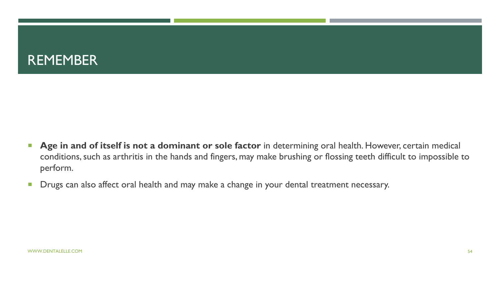

- **Age in and of itself is not a dominant or sole factor** in determining oral health. However, certain medical conditions, such as arthritis in the hands and fingers, may make brushing or flossing teeth difficult to impossible to perform.
- **Drugs can also affect oral health and may make a change in your dental treatment necessary.**